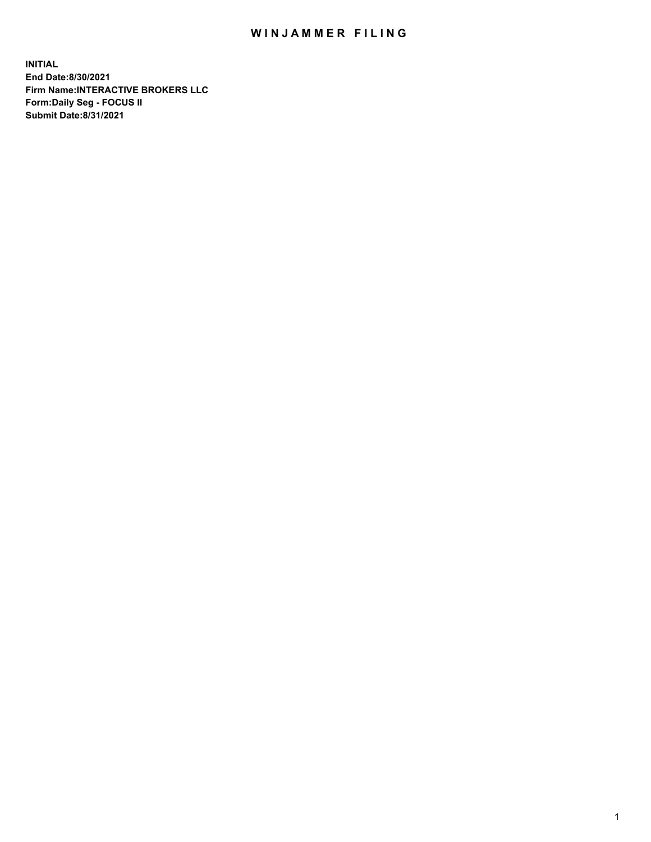## WIN JAMMER FILING

**INITIAL End Date:8/30/2021 Firm Name:INTERACTIVE BROKERS LLC Form:Daily Seg - FOCUS II Submit Date:8/31/2021**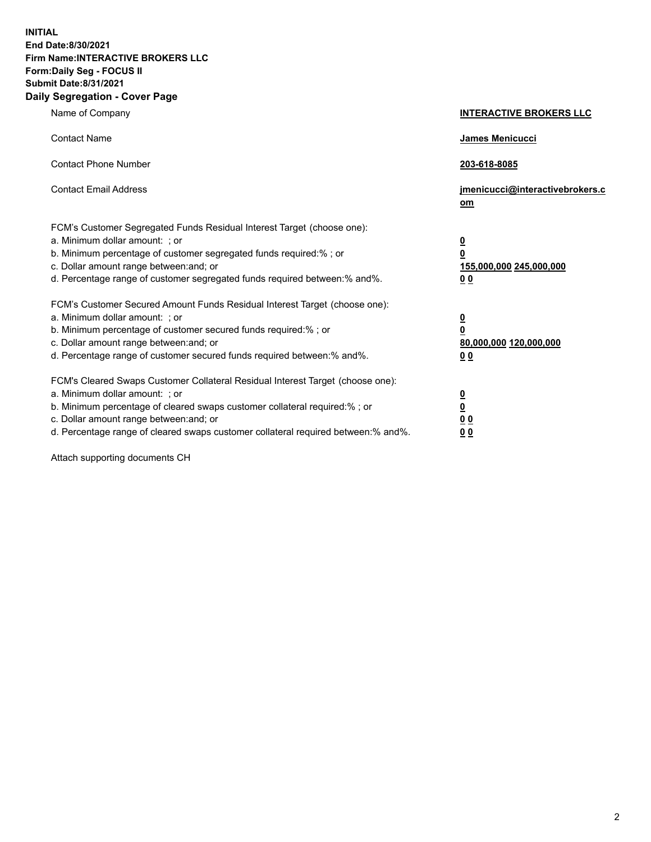**INITIAL End Date:8/30/2021 Firm Name:INTERACTIVE BROKERS LLC Form:Daily Seg - FOCUS II Submit Date:8/31/2021 Daily Segregation - Cover Page**

| Name of Company                                                                                                                                                                                                                                                                                                                | <b>INTERACTIVE BROKERS LLC</b>                                                                  |  |
|--------------------------------------------------------------------------------------------------------------------------------------------------------------------------------------------------------------------------------------------------------------------------------------------------------------------------------|-------------------------------------------------------------------------------------------------|--|
| <b>Contact Name</b>                                                                                                                                                                                                                                                                                                            | James Menicucci                                                                                 |  |
| <b>Contact Phone Number</b>                                                                                                                                                                                                                                                                                                    | 203-618-8085                                                                                    |  |
| <b>Contact Email Address</b>                                                                                                                                                                                                                                                                                                   | jmenicucci@interactivebrokers.c<br>om                                                           |  |
| FCM's Customer Segregated Funds Residual Interest Target (choose one):<br>a. Minimum dollar amount: ; or<br>b. Minimum percentage of customer segregated funds required:% ; or<br>c. Dollar amount range between: and; or<br>d. Percentage range of customer segregated funds required between: % and %.                       | $\overline{\mathbf{0}}$<br>$\overline{\mathbf{0}}$<br>155,000,000 245,000,000<br>0 <sub>0</sub> |  |
| FCM's Customer Secured Amount Funds Residual Interest Target (choose one):<br>a. Minimum dollar amount: ; or<br>b. Minimum percentage of customer secured funds required:% ; or<br>c. Dollar amount range between: and; or<br>d. Percentage range of customer secured funds required between:% and%.                           | $\overline{\mathbf{0}}$<br>$\overline{\mathbf{0}}$<br>80,000,000 120,000,000<br>0 <sub>0</sub>  |  |
| FCM's Cleared Swaps Customer Collateral Residual Interest Target (choose one):<br>a. Minimum dollar amount: ; or<br>b. Minimum percentage of cleared swaps customer collateral required:% ; or<br>c. Dollar amount range between: and; or<br>d. Percentage range of cleared swaps customer collateral required between:% and%. | $\overline{\mathbf{0}}$<br><u>0</u><br>0 <sub>0</sub><br>00                                     |  |

Attach supporting documents CH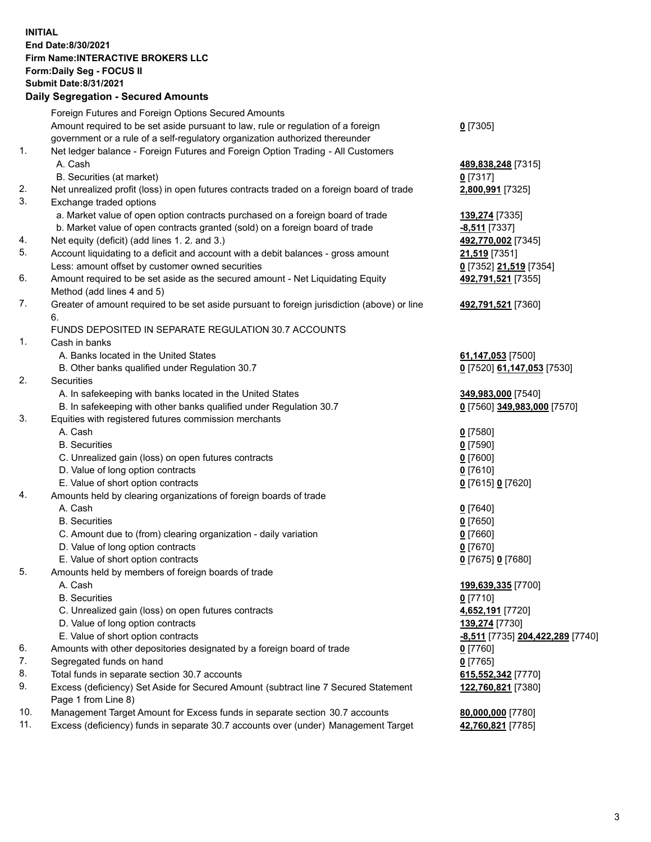**INITIAL End Date:8/30/2021 Firm Name:INTERACTIVE BROKERS LLC Form:Daily Seg - FOCUS II Submit Date:8/31/2021 Daily Segregation - Secured Amounts**

## Foreign Futures and Foreign Options Secured Amounts Amount required to be set aside pursuant to law, rule or regulation of a foreign government or a rule of a self-regulatory organization authorized thereunder **0** [7305] 1. Net ledger balance - Foreign Futures and Foreign Option Trading - All Customers A. Cash **489,838,248** [7315] B. Securities (at market) **0** [7317] 2. Net unrealized profit (loss) in open futures contracts traded on a foreign board of trade **2,800,991** [7325] 3. Exchange traded options a. Market value of open option contracts purchased on a foreign board of trade **139,274** [7335] b. Market value of open contracts granted (sold) on a foreign board of trade **-8,511** [7337] 4. Net equity (deficit) (add lines 1. 2. and 3.) **492,770,002** [7345] 5. Account liquidating to a deficit and account with a debit balances - gross amount **21,519** [7351] Less: amount offset by customer owned securities **0** [7352] **21,519** [7354] 6. Amount required to be set aside as the secured amount - Net Liquidating Equity Method (add lines 4 and 5) **492,791,521** [7355] 7. Greater of amount required to be set aside pursuant to foreign jurisdiction (above) or line 6. **492,791,521** [7360] FUNDS DEPOSITED IN SEPARATE REGULATION 30.7 ACCOUNTS 1. Cash in banks A. Banks located in the United States **61,147,053** [7500] B. Other banks qualified under Regulation 30.7 **0** [7520] **61,147,053** [7530] 2. Securities A. In safekeeping with banks located in the United States **349,983,000** [7540] B. In safekeeping with other banks qualified under Regulation 30.7 **0** [7560] **349,983,000** [7570] 3. Equities with registered futures commission merchants A. Cash **0** [7580] B. Securities **0** [7590] C. Unrealized gain (loss) on open futures contracts **0** [7600] D. Value of long option contracts **0** [7610] E. Value of short option contracts **0** [7615] **0** [7620] 4. Amounts held by clearing organizations of foreign boards of trade A. Cash **0** [7640] B. Securities **0** [7650] C. Amount due to (from) clearing organization - daily variation **0** [7660] D. Value of long option contracts **0** [7670] E. Value of short option contracts **0** [7675] **0** [7680] 5. Amounts held by members of foreign boards of trade A. Cash **199,639,335** [7700] B. Securities **0** [7710] C. Unrealized gain (loss) on open futures contracts **4,652,191** [7720] D. Value of long option contracts **139,274** [7730] E. Value of short option contracts **-8,511** [7735] **204,422,289** [7740] 6. Amounts with other depositories designated by a foreign board of trade **0** [7760] 7. Segregated funds on hand **0** [7765] 8. Total funds in separate section 30.7 accounts **615,552,342** [7770] 9. Excess (deficiency) Set Aside for Secured Amount (subtract line 7 Secured Statement Page 1 from Line 8) **122,760,821** [7380] 10. Management Target Amount for Excess funds in separate section 30.7 accounts **80,000,000** [7780] 11. Excess (deficiency) funds in separate 30.7 accounts over (under) Management Target **42,760,821** [7785]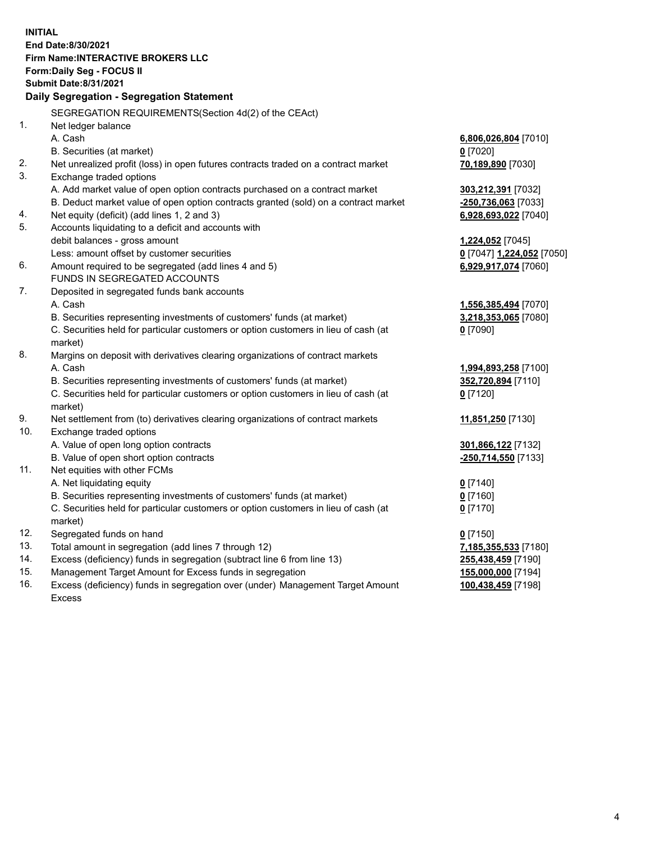**INITIAL End Date:8/30/2021 Firm Name:INTERACTIVE BROKERS LLC Form:Daily Seg - FOCUS II Submit Date:8/31/2021 Daily Segregation - Segregation Statement** SEGREGATION REQUIREMENTS(Section 4d(2) of the CEAct) 1. Net ledger balance A. Cash **6,806,026,804** [7010] B. Securities (at market) **0** [7020] 2. Net unrealized profit (loss) in open futures contracts traded on a contract market **70,189,890** [7030] 3. Exchange traded options A. Add market value of open option contracts purchased on a contract market **303,212,391** [7032] B. Deduct market value of open option contracts granted (sold) on a contract market **-250,736,063** [7033] 4. Net equity (deficit) (add lines 1, 2 and 3) **6,928,693,022** [7040] 5. Accounts liquidating to a deficit and accounts with debit balances - gross amount **1,224,052** [7045] Less: amount offset by customer securities **0** [7047] **1,224,052** [7050] 6. Amount required to be segregated (add lines 4 and 5) **6,929,917,074** [7060] FUNDS IN SEGREGATED ACCOUNTS 7. Deposited in segregated funds bank accounts A. Cash **1,556,385,494** [7070] B. Securities representing investments of customers' funds (at market) **3,218,353,065** [7080] C. Securities held for particular customers or option customers in lieu of cash (at market) **0** [7090] 8. Margins on deposit with derivatives clearing organizations of contract markets A. Cash **1,994,893,258** [7100] B. Securities representing investments of customers' funds (at market) **352,720,894** [7110] C. Securities held for particular customers or option customers in lieu of cash (at market) **0** [7120] 9. Net settlement from (to) derivatives clearing organizations of contract markets **11,851,250** [7130] 10. Exchange traded options A. Value of open long option contracts **301,866,122** [7132] B. Value of open short option contracts **-250,714,550** [7133] 11. Net equities with other FCMs A. Net liquidating equity **0** [7140] B. Securities representing investments of customers' funds (at market) **0** [7160] C. Securities held for particular customers or option customers in lieu of cash (at market) **0** [7170] 12. Segregated funds on hand **0** [7150] 13. Total amount in segregation (add lines 7 through 12) **7,185,355,533** [7180] 14. Excess (deficiency) funds in segregation (subtract line 6 from line 13) **255,438,459** [7190] 15. Management Target Amount for Excess funds in segregation **155,000,000** [7194] 16. Excess (deficiency) funds in segregation over (under) Management Target Amount Excess **100,438,459** [7198]